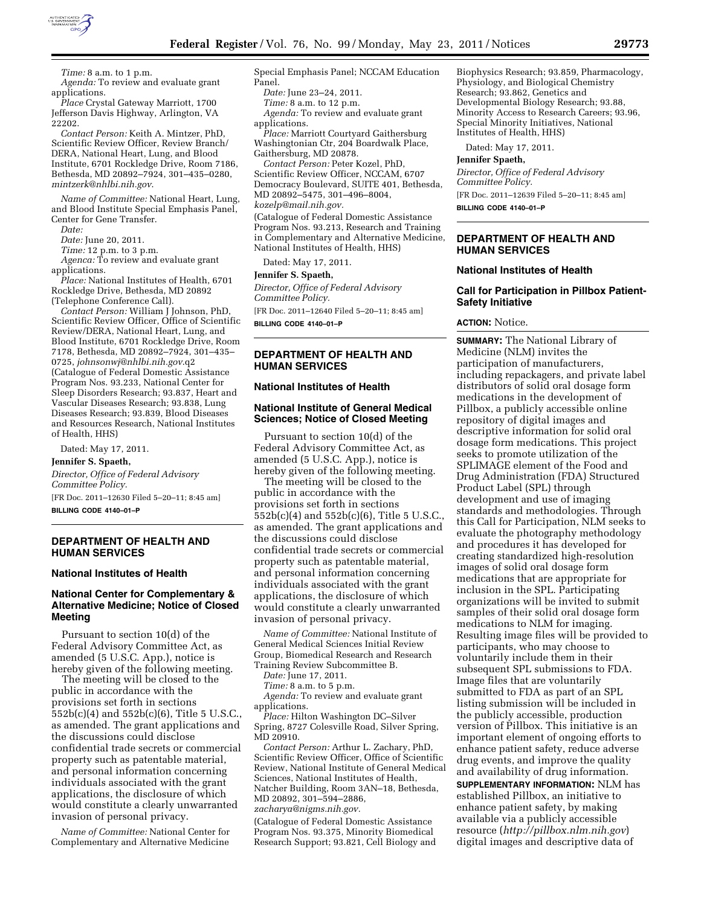

*Time:* 8 a.m. to 1 p.m. *Agenda:* To review and evaluate grant applications.

*Place* Crystal Gateway Marriott, 1700 Jefferson Davis Highway, Arlington, VA 22202.

*Contact Person:* Keith A. Mintzer, PhD, Scientific Review Officer, Review Branch/ DERA, National Heart, Lung, and Blood Institute, 6701 Rockledge Drive, Room 7186, Bethesda, MD 20892–7924, 301–435–0280, *[mintzerk@nhlbi.nih.gov](mailto:mintzerk@nhlbi.nih.gov)*.

*Name of Committee:* National Heart, Lung, and Blood Institute Special Emphasis Panel, Center for Gene Transfer.

*Date:* 

*Date:* June 20, 2011.

*Time:* 12 p.m. to 3 p.m.

*Agenca:* To review and evaluate grant applications.

*Place:* National Institutes of Health, 6701 Rockledge Drive, Bethesda, MD 20892 (Telephone Conference Call).

*Contact Person:* William J Johnson, PhD, Scientific Review Officer, Office of Scientific Review/DERA, National Heart, Lung, and Blood Institute, 6701 Rockledge Drive, Room 7178, Bethesda, MD 20892–7924, 301–435– 0725, *[johnsonwj@nhlbi.nih.gov](mailto:johnsonwj@nhlbi.nih.gov)*.q2 (Catalogue of Federal Domestic Assistance Program Nos. 93.233, National Center for Sleep Disorders Research; 93.837, Heart and Vascular Diseases Research; 93.838, Lung Diseases Research; 93.839, Blood Diseases and Resources Research, National Institutes of Health, HHS)

Dated: May 17, 2011.

#### **Jennifer S. Spaeth,**

*Director, Office of Federal Advisory Committee Policy.* 

[FR Doc. 2011–12630 Filed 5–20–11; 8:45 am] **BILLING CODE 4140–01–P** 

### **DEPARTMENT OF HEALTH AND HUMAN SERVICES**

#### **National Institutes of Health**

## **National Center for Complementary & Alternative Medicine; Notice of Closed Meeting**

Pursuant to section 10(d) of the Federal Advisory Committee Act, as amended (5 U.S.C. App.), notice is hereby given of the following meeting.

The meeting will be closed to the public in accordance with the provisions set forth in sections 552b(c)(4) and 552b(c)(6), Title 5 U.S.C., as amended. The grant applications and the discussions could disclose confidential trade secrets or commercial property such as patentable material, and personal information concerning individuals associated with the grant applications, the disclosure of which would constitute a clearly unwarranted invasion of personal privacy.

*Name of Committee:* National Center for Complementary and Alternative Medicine

Special Emphasis Panel; NCCAM Education Panel.

*Date:* June 23–24, 2011.

*Time:* 8 a.m. to 12 p.m.

*Agenda:* To review and evaluate grant applications.

*Place:* Marriott Courtyard Gaithersburg Washingtonian Ctr, 204 Boardwalk Place, Gaithersburg, MD 20878.

*Contact Person:* Peter Kozel, PhD, Scientific Review Officer, NCCAM, 6707 Democracy Boulevard, SUITE 401, Bethesda, MD 20892–5475, 301–496–8004, *[kozelp@mail.nih.gov.](mailto:kozelp@mail.nih.gov)* 

(Catalogue of Federal Domestic Assistance Program Nos. 93.213, Research and Training in Complementary and Alternative Medicine, National Institutes of Health, HHS)

Dated: May 17, 2011.

#### **Jennifer S. Spaeth,**

*Director, Office of Federal Advisory Committee Policy.* 

[FR Doc. 2011–12640 Filed 5–20–11; 8:45 am] **BILLING CODE 4140–01–P** 

#### **DEPARTMENT OF HEALTH AND HUMAN SERVICES**

#### **National Institutes of Health**

### **National Institute of General Medical Sciences; Notice of Closed Meeting**

Pursuant to section 10(d) of the Federal Advisory Committee Act, as amended (5 U.S.C. App.), notice is hereby given of the following meeting.

The meeting will be closed to the public in accordance with the provisions set forth in sections 552b(c)(4) and 552b(c)(6), Title 5 U.S.C., as amended. The grant applications and the discussions could disclose confidential trade secrets or commercial property such as patentable material, and personal information concerning individuals associated with the grant applications, the disclosure of which would constitute a clearly unwarranted invasion of personal privacy.

*Name of Committee:* National Institute of General Medical Sciences Initial Review Group, Biomedical Research and Research Training Review Subcommittee B.

*Date:* June 17, 2011.

*Time:* 8 a.m. to 5 p.m.

*Agenda:* To review and evaluate grant applications.

*Place:* Hilton Washington DC–Silver Spring, 8727 Colesville Road, Silver Spring, MD 20910.

*Contact Person:* Arthur L. Zachary, PhD, Scientific Review Officer, Office of Scientific Review, National Institute of General Medical Sciences, National Institutes of Health, Natcher Building, Room 3AN–18, Bethesda, MD 20892, 301–594–2886, *[zacharya@nigms.nih.gov.](mailto:zacharya@nigms.nih.gov)* 

(Catalogue of Federal Domestic Assistance Program Nos. 93.375, Minority Biomedical Research Support; 93.821, Cell Biology and

Biophysics Research; 93.859, Pharmacology, Physiology, and Biological Chemistry Research; 93.862, Genetics and Developmental Biology Research; 93.88, Minority Access to Research Careers; 93.96, Special Minority Initiatives, National Institutes of Health, HHS)

Dated: May 17, 2011.

#### **Jennifer Spaeth,**

*Director, Office of Federal Advisory Committee Policy.*  [FR Doc. 2011–12639 Filed 5–20–11; 8:45 am] **BILLING CODE 4140–01–P** 

**DEPARTMENT OF HEALTH AND HUMAN SERVICES** 

#### **National Institutes of Health**

### **Call for Participation in Pillbox Patient-Safety Initiative**

#### **ACTION:** Notice.

**SUMMARY:** The National Library of Medicine (NLM) invites the participation of manufacturers, including repackagers, and private label distributors of solid oral dosage form medications in the development of Pillbox, a publicly accessible online repository of digital images and descriptive information for solid oral dosage form medications. This project seeks to promote utilization of the SPLIMAGE element of the Food and Drug Administration (FDA) Structured Product Label (SPL) through development and use of imaging standards and methodologies. Through this Call for Participation, NLM seeks to evaluate the photography methodology and procedures it has developed for creating standardized high-resolution images of solid oral dosage form medications that are appropriate for inclusion in the SPL. Participating organizations will be invited to submit samples of their solid oral dosage form medications to NLM for imaging. Resulting image files will be provided to participants, who may choose to voluntarily include them in their subsequent SPL submissions to FDA. Image files that are voluntarily submitted to FDA as part of an SPL listing submission will be included in the publicly accessible, production version of Pillbox. This initiative is an important element of ongoing efforts to enhance patient safety, reduce adverse drug events, and improve the quality and availability of drug information.

**SUPPLEMENTARY INFORMATION:** NLM has established Pillbox, an initiative to enhance patient safety, by making available via a publicly accessible resource (*<http://pillbox.nlm.nih.gov>*) digital images and descriptive data of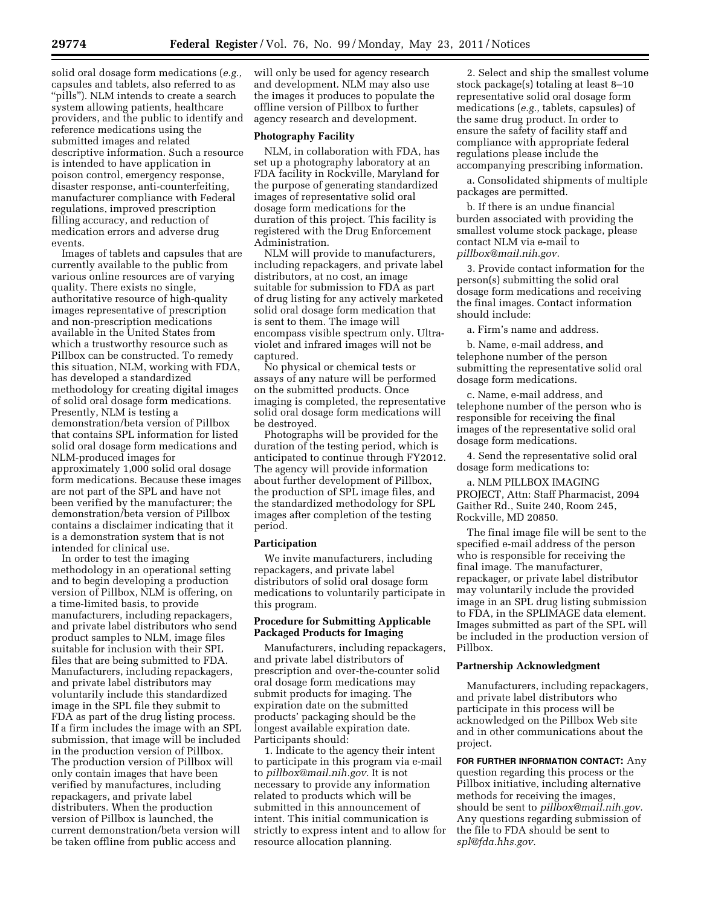descriptive information. Such a resource is intended to have application in poison control, emergency response, disaster response, anti-counterfeiting, manufacturer compliance with Federal regulations, improved prescription filling accuracy, and reduction of medication errors and adverse drug events.

Images of tablets and capsules that are currently available to the public from various online resources are of varying quality. There exists no single, authoritative resource of high-quality images representative of prescription and non-prescription medications available in the United States from which a trustworthy resource such as Pillbox can be constructed. To remedy this situation, NLM, working with FDA, has developed a standardized methodology for creating digital images of solid oral dosage form medications. Presently, NLM is testing a demonstration/beta version of Pillbox that contains SPL information for listed solid oral dosage form medications and NLM-produced images for approximately 1,000 solid oral dosage form medications. Because these images are not part of the SPL and have not been verified by the manufacturer; the demonstration/beta version of Pillbox contains a disclaimer indicating that it is a demonstration system that is not intended for clinical use.

In order to test the imaging methodology in an operational setting and to begin developing a production version of Pillbox, NLM is offering, on a time-limited basis, to provide manufacturers, including repackagers, and private label distributors who send product samples to NLM, image files suitable for inclusion with their SPL files that are being submitted to FDA. Manufacturers, including repackagers, and private label distributors may voluntarily include this standardized image in the SPL file they submit to FDA as part of the drug listing process. If a firm includes the image with an SPL submission, that image will be included in the production version of Pillbox. The production version of Pillbox will only contain images that have been verified by manufactures, including repackagers, and private label distributers. When the production version of Pillbox is launched, the current demonstration/beta version will be taken offline from public access and

will only be used for agency research and development. NLM may also use the images it produces to populate the offline version of Pillbox to further agency research and development.

# **Photography Facility**

NLM, in collaboration with FDA, has set up a photography laboratory at an FDA facility in Rockville, Maryland for the purpose of generating standardized images of representative solid oral dosage form medications for the duration of this project. This facility is registered with the Drug Enforcement Administration.

NLM will provide to manufacturers, including repackagers, and private label distributors, at no cost, an image suitable for submission to FDA as part of drug listing for any actively marketed solid oral dosage form medication that is sent to them. The image will encompass visible spectrum only. Ultraviolet and infrared images will not be captured.

No physical or chemical tests or assays of any nature will be performed on the submitted products. Once imaging is completed, the representative solid oral dosage form medications will be destroyed.

Photographs will be provided for the duration of the testing period, which is anticipated to continue through FY2012. The agency will provide information about further development of Pillbox, the production of SPL image files, and the standardized methodology for SPL images after completion of the testing period.

#### **Participation**

We invite manufacturers, including repackagers, and private label distributors of solid oral dosage form medications to voluntarily participate in this program.

### **Procedure for Submitting Applicable Packaged Products for Imaging**

Manufacturers, including repackagers, and private label distributors of prescription and over-the-counter solid oral dosage form medications may submit products for imaging. The expiration date on the submitted products' packaging should be the longest available expiration date. Participants should:

1. Indicate to the agency their intent to participate in this program via e-mail to *[pillbox@mail.nih.gov.](mailto:pillbox@mail.nih.gov)* It is not necessary to provide any information related to products which will be submitted in this announcement of intent. This initial communication is strictly to express intent and to allow for resource allocation planning.

2. Select and ship the smallest volume stock package(s) totaling at least 8–10 representative solid oral dosage form medications (*e.g.,* tablets, capsules) of the same drug product. In order to ensure the safety of facility staff and compliance with appropriate federal regulations please include the accompanying prescribing information.

a. Consolidated shipments of multiple packages are permitted.

b. If there is an undue financial burden associated with providing the smallest volume stock package, please contact NLM via e-mail to *[pillbox@mail.nih.gov.](mailto:pillbox@mail.nih.gov)* 

3. Provide contact information for the person(s) submitting the solid oral dosage form medications and receiving the final images. Contact information should include:

a. Firm's name and address.

b. Name, e-mail address, and telephone number of the person submitting the representative solid oral dosage form medications.

c. Name, e-mail address, and telephone number of the person who is responsible for receiving the final images of the representative solid oral dosage form medications.

4. Send the representative solid oral dosage form medications to:

a. NLM PILLBOX IMAGING PROJECT, Attn: Staff Pharmacist, 2094 Gaither Rd., Suite 240, Room 245, Rockville, MD 20850.

The final image file will be sent to the specified e-mail address of the person who is responsible for receiving the final image. The manufacturer, repackager, or private label distributor may voluntarily include the provided image in an SPL drug listing submission to FDA, in the SPLIMAGE data element. Images submitted as part of the SPL will be included in the production version of Pillbox.

#### **Partnership Acknowledgment**

Manufacturers, including repackagers, and private label distributors who participate in this process will be acknowledged on the Pillbox Web site and in other communications about the project.

**FOR FURTHER INFORMATION CONTACT:** Any question regarding this process or the Pillbox initiative, including alternative methods for receiving the images, should be sent to *[pillbox@mail.nih.gov.](mailto:pillbox@mail.nih.gov)*  Any questions regarding submission of the file to FDA should be sent to *[spl@fda.hhs.gov.](mailto:spl@fda.hhs.gov)*